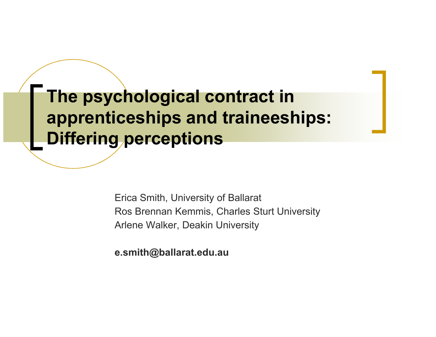The psychological contract in apprenticeships and traineeships: Differing perceptions

> Erica Smith, University of BallaratRos Brennan Kemmis, Charles Sturt UniversityArlene Walker, Deakin University

e.smith@ballarat.edu.au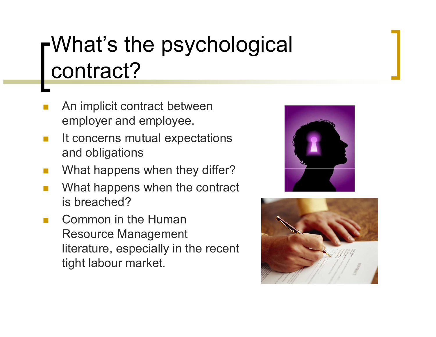# What's the psychological contract?

- F. An implicit contract between employer and employee.
- $\mathcal{C}^{\mathcal{A}}$  It concerns mutual expectations and obligations
- F. What happens when they differ?
- F. What happens when the contract is breached?
- $\mathcal{L}_{\mathcal{A}}$  Common in the Human Resource Management literature, especially in the recent tight labour market.



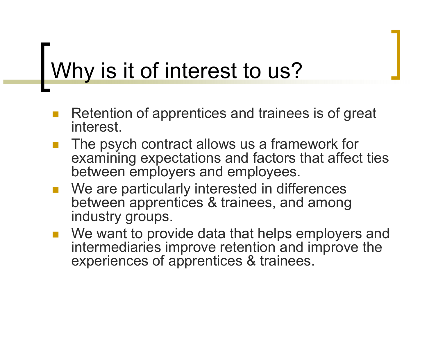## Why is it of interest to us?

- Retention of apprentices and trainees is of great interest.
- The psych contract allows us a framework for examining expectations and factors that affect tiesbetween employers and employees.
- We are particularly interested in differences between apprentices & trainees, and among industry groups.
- We want to provide data that helps employers and intermediaries improve retention and improve the experiences of apprentices & trainees.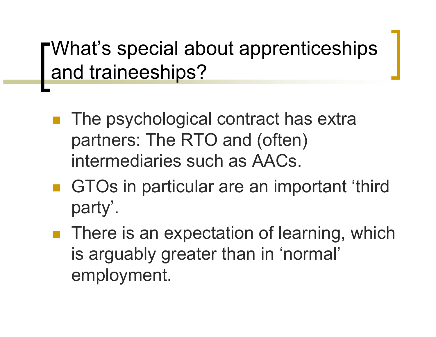What's special about apprenticeships and traineeships?

- The psychological contract has extra partners: The RTO and (often) intermediaries such as AACs.
- GTOs in particular are an important 'third party'.
- **There is an expectation of learning, which** is arguably greater than in 'normal' employment.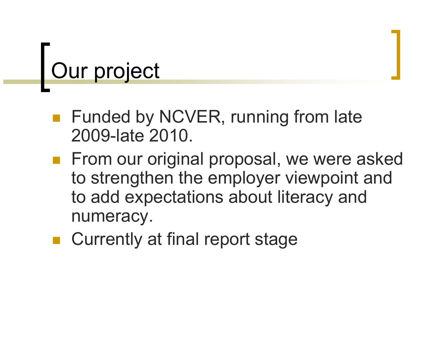### Our project

- Funded by NCVER, running from late 2009-late 2010.
- **From our original proposal, we were asked From our original proposal, we were asked** to strengthen the employer viewpoint and to add expectations about literacy and numeracy.
- Currently at final report stage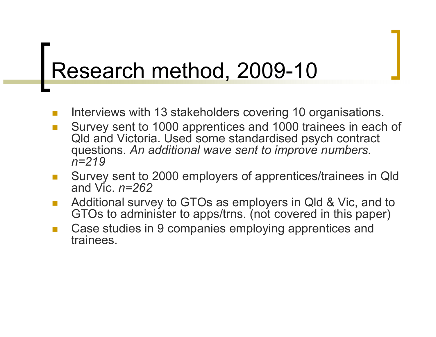### Research method, 2009-10

- F. Interviews with 13 stakeholders covering 10 organisations.
- F. Survey sent to 1000 apprentices and 1000 trainees in each of Qld and Victoria. Used some standardised psych contract questions. An additional wave sent to improve numbers.  $n=219$
- Survey sent to 2000 employers of apprentices/trainees in Qld F. and Vic.  $n=262$
- Additional survey to GTOs as employers in Qld & Vic, and to F. GTOs to administer to apps/trns. (not covered in this paper)
- Case studies in 9 companies employing apprentices and trainees.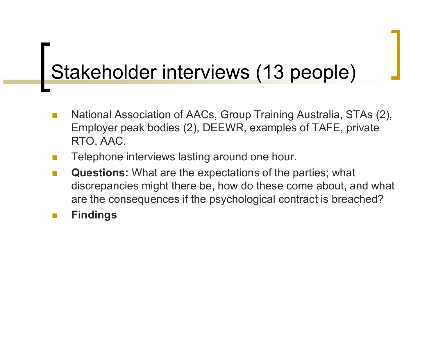## Stakeholder interviews (13 people)

- $\sim$  National Association of AACs, Group Training Australia, STAs (2), Employer peak bodies (2), DEEWR, examples of TAFE, private RTO, AAC.
- $\mathcal{L}_{\mathcal{A}}$ Telephone interviews lasting around one hour.
- $\mathcal{L}^{\text{max}}$  Questions: What are the expectations of the parties; what discrepancies might there be, how do these come about, and what are the consequences if the psychological contract is breached?
- **Ta** Findings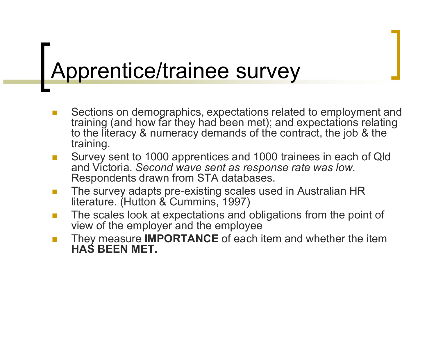### Apprentice/trainee survey

- m. Sections on demographics, expectations related to employment and training (and how far they had been met); and expectations relating to the literacy & numeracy demands of the contract, the job & the training.
- $\mathcal{L}_{\mathcal{A}}$  Survey sent to 1000 apprentices and 1000 trainees in each of Qld and Victoria. Second wave sent as response rate was low.<br>Respondents drawn from STA databases.
- $\sim$  The survey adapts pre-existing scales used in Australian HR literature. (Hutton & Cummins, 1997)
- $\mathcal{L}_{\mathcal{A}}$  The scales look at expectations and obligations from the point of view of the employer and the employee
- They measure **IMPORTANCE** of each item and whether the item **The State** HAS BEEN MET.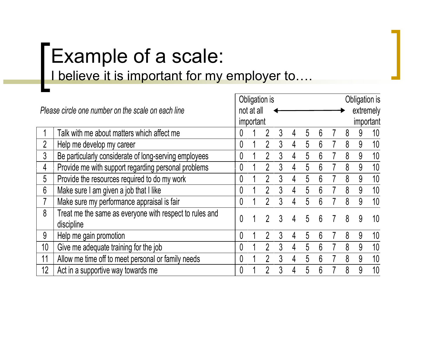## Example of a scale: I believe it is important for my employer to….

| Please circle one number on the scale on each line |                                                                       |   | Obligation is |                |   |   |   |                 |  | Obligation is |   |                 |
|----------------------------------------------------|-----------------------------------------------------------------------|---|---------------|----------------|---|---|---|-----------------|--|---------------|---|-----------------|
|                                                    |                                                                       |   | not at all    |                |   |   |   |                 |  |               |   | extremely       |
|                                                    |                                                                       |   | important     |                |   |   |   |                 |  | important     |   |                 |
|                                                    | Talk with me about matters which affect me                            | 0 |               |                | 3 | 4 | 5 | 6               |  | 8             | 9 | 10              |
| $\overline{2}$                                     | Help me develop my career                                             | 0 |               | 2              | 3 | 4 | 5 | 6               |  | 8             | 9 | 10              |
| 3                                                  | Be particularly considerate of long-serving employees                 | 0 |               | $\gamma$       |   | 4 | 5 | 6               |  | 8             | 9 | 10              |
| 4                                                  | Provide me with support regarding personal problems                   | 0 |               | $\overline{2}$ | 3 | 4 | 5 | 6               |  | 8             | 9 | 10              |
| 5                                                  | Provide the resources required to do my work                          | 0 |               | $\overline{2}$ | 3 | 4 | 5 | 6               |  | 8             | 9 | 10              |
| $6\phantom{1}$                                     | Make sure I am given a job that I like                                | 0 |               | 2              | 3 | 4 | 5 | $6\overline{6}$ |  | 8             | 9 | 10              |
| $\overline{7}$                                     | Make sure my performance appraisal is fair                            | 0 |               | $\mathfrak{D}$ | 3 | 4 | 5 | 6               |  | 8             | 9 | 10 <sup>°</sup> |
| 8                                                  | Treat me the same as everyone with respect to rules and<br>discipline | 0 |               |                | 3 | 4 | 5 | 6               |  | 8             | 9 | 10              |
| 9                                                  | Help me gain promotion                                                | 0 |               |                | 3 | 4 | 5 | 6               |  | 8             | 9 | 10              |
| 10 <sup>1</sup>                                    | Give me adequate training for the job                                 | 0 |               | $\mathfrak{D}$ |   | 4 | 5 | 6               |  | 8             | 9 | 10              |
| 11                                                 | Allow me time off to meet personal or family needs                    | 0 |               | $\mathfrak{D}$ |   | 4 | 5 | $6\phantom{.}6$ |  | 8             | 9 | 10              |
| 12                                                 | Act in a supportive way towards me                                    | 0 |               |                |   | 4 | 5 | 6               |  | 8             | 9 | 10              |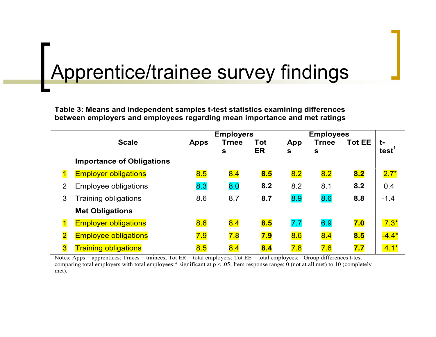## Apprentice/trainee survey findings

Table 3: Means and independent samples t-test statistics examining differences between employers and employees regarding mean importance and met ratings

|                         |                                  | <b>Employers</b> |              |            |              |              |               |                   |
|-------------------------|----------------------------------|------------------|--------------|------------|--------------|--------------|---------------|-------------------|
|                         | <b>Scale</b>                     | <b>Apps</b>      | <b>Trnee</b> | <b>Tot</b> | App          | <b>Trnee</b> | <b>Tot EE</b> | t-                |
|                         |                                  |                  | S            | ER         | $\mathbf{s}$ | $\mathbf{s}$ |               | test <sup>1</sup> |
|                         | <b>Importance of Obligations</b> |                  |              |            |              |              |               |                   |
|                         | <b>Employer obligations</b>      | 8.5              | 8.4          | 8.5        | 8.2          | 8.2          | 8.2           | $2.7*$            |
| $\overline{2}$          | <b>Employee obligations</b>      | 8.3              | 8.0          | 8.2        | 8.2          | 8.1          | 8.2           | 0.4               |
| 3                       | <b>Training obligations</b>      | 8.6              | 8.7          | 8.7        | 8.9          | 8.6          | 8.8           | $-1.4$            |
|                         | <b>Met Obligations</b>           |                  |              |            |              |              |               |                   |
| $\mathbf 1$             | <b>Employer obligations</b>      | 8.6              | 8.4          | 8.5        | 7.7          | 6.9          | 7.0           | $7.3*$            |
| $\overline{\mathbf{2}}$ | <b>Employee obligations</b>      | 7.9              | 7.8          | 7.9        | 8.6          | 8.4          | 8.5           | $-4.4*$           |
| $\overline{\textbf{3}}$ | <b>Training obligations</b>      | 8.5              | 8.4          | 8.4        | 7.8          | 7.6          | 7.7           | $4.1*$            |

Notes: Apps = apprentices; Trnees = trainees; Tot ER = total employers; Tot EE = total employees;  $\frac{1}{1}$  Group differences t-test comparing total employers with total employees;\* significant at p < .05; Item response range: 0 (not at all met) to 10 (completely met).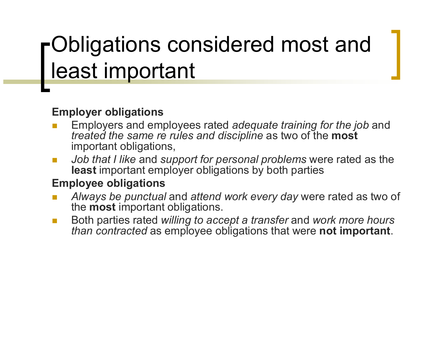### Obligations considered most and least important

#### Employer obligations

- **Employers and employees rated adequate training for the job and Employers and employees rated adequate training for the job and** m. *treated the same re rules and discipline as two of the most*<br>important obligations important obligations,
- m, ■ Job that I like and support for personal problems were rated as the least important employer obligations by both perties. least important employer obligations by both parties

#### Employee obligations

- Always be punctual and attend work every day were rated as two of m, the most important obligations.
- Both parties rated willing to accept a transfer and work more hours *than contracted* as employee obligations that were **not important**.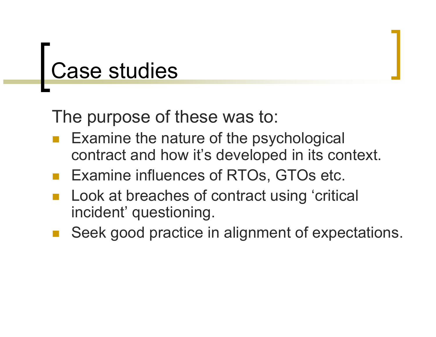## Case studies

The purpose of these was to:

- Examine the nature of the psychological contract and how it's developed in its context.
- Examine influences of RTOs, GTOs etc.
- Look at breaches of contract using 'critical incident' questioning.
- Seek good practice in alignment of expectations.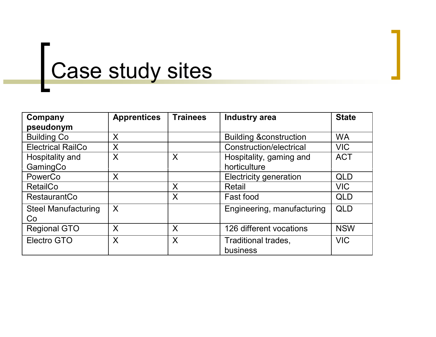## Case study sites

| Company                    | <b>Apprentices</b> | <b>Trainees</b> | <b>Industry area</b>              | <b>State</b> |
|----------------------------|--------------------|-----------------|-----------------------------------|--------------|
| pseudonym                  |                    |                 |                                   |              |
| <b>Building Co</b>         | X                  |                 | <b>Building &amp;construction</b> | <b>WA</b>    |
| <b>Electrical RailCo</b>   | X                  |                 | <b>Construction/electrical</b>    | <b>VIC</b>   |
| Hospitality and            | X                  | $\times$        | Hospitality, gaming and           | <b>ACT</b>   |
| GamingCo                   |                    |                 | horticulture                      |              |
| PowerCo                    | X                  |                 | <b>Electricity generation</b>     | <b>QLD</b>   |
| <b>RetailCo</b>            |                    | X               | Retail                            | <b>VIC</b>   |
| RestaurantCo               |                    | X               | Fast food                         | QLD          |
| <b>Steel Manufacturing</b> | X                  |                 | Engineering, manufacturing        | QLD          |
| Co                         |                    |                 |                                   |              |
| <b>Regional GTO</b>        | X                  | X               | 126 different vocations           | <b>NSW</b>   |
| <b>Electro GTO</b>         | X                  | $\times$        | Traditional trades,               | <b>VIC</b>   |
|                            |                    |                 | business                          |              |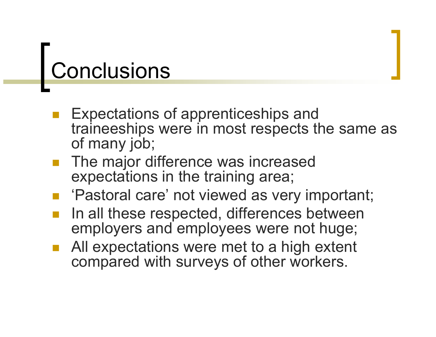## Conclusions

- Expectations of apprenticeships and traineeships were in most respects the same as of many job;
- The major difference was increased expectations in the training area;
- 'Pastoral care' not viewed as very important;
- In all these respected, differences between employers and employees were not huge;
- All expectations were met to a high extent compared with surveys of other workers.